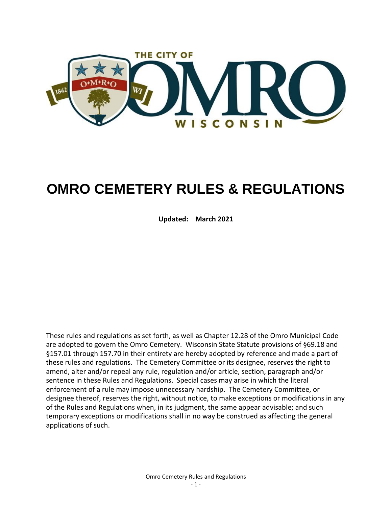

# **OMRO CEMETERY RULES & REGULATIONS**

**Updated: March 2021**

These rules and regulations as set forth, as well as Chapter 12.28 of the Omro Municipal Code are adopted to govern the Omro Cemetery. Wisconsin State Statute provisions of §69.18 and §157.01 through 157.70 in their entirety are hereby adopted by reference and made a part of these rules and regulations. The Cemetery Committee or its designee, reserves the right to amend, alter and/or repeal any rule, regulation and/or article, section, paragraph and/or sentence in these Rules and Regulations. Special cases may arise in which the literal enforcement of a rule may impose unnecessary hardship. The Cemetery Committee, or designee thereof, reserves the right, without notice, to make exceptions or modifications in any of the Rules and Regulations when, in its judgment, the same appear advisable; and such temporary exceptions or modifications shall in no way be construed as affecting the general applications of such.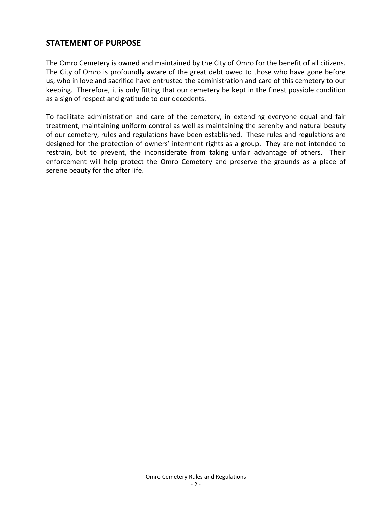# <span id="page-1-0"></span>**STATEMENT OF PURPOSE**

The Omro Cemetery is owned and maintained by the City of Omro for the benefit of all citizens. The City of Omro is profoundly aware of the great debt owed to those who have gone before us, who in love and sacrifice have entrusted the administration and care of this cemetery to our keeping. Therefore, it is only fitting that our cemetery be kept in the finest possible condition as a sign of respect and gratitude to our decedents.

To facilitate administration and care of the cemetery, in extending everyone equal and fair treatment, maintaining uniform control as well as maintaining the serenity and natural beauty of our cemetery, rules and regulations have been established. These rules and regulations are designed for the protection of owners' interment rights as a group. They are not intended to restrain, but to prevent, the inconsiderate from taking unfair advantage of others. Their enforcement will help protect the Omro Cemetery and preserve the grounds as a place of serene beauty for the after life.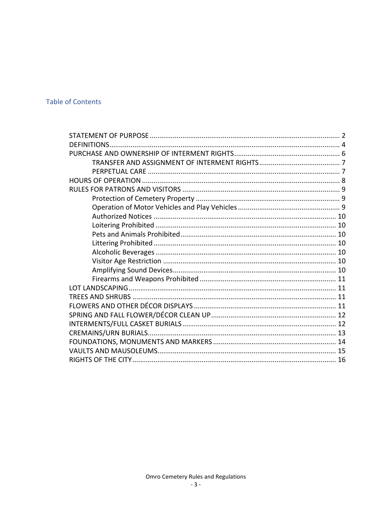# **Table of Contents**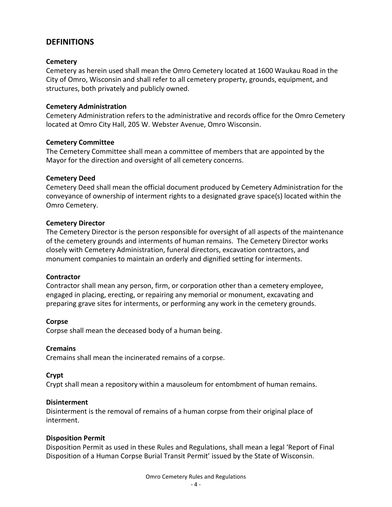## <span id="page-3-0"></span>**DEFINITIONS**

#### **Cemetery**

Cemetery as herein used shall mean the Omro Cemetery located at 1600 Waukau Road in the City of Omro, Wisconsin and shall refer to all cemetery property, grounds, equipment, and structures, both privately and publicly owned.

#### **Cemetery Administration**

Cemetery Administration refers to the administrative and records office for the Omro Cemetery located at Omro City Hall, 205 W. Webster Avenue, Omro Wisconsin.

#### **Cemetery Committee**

The Cemetery Committee shall mean a committee of members that are appointed by the Mayor for the direction and oversight of all cemetery concerns.

#### **Cemetery Deed**

Cemetery Deed shall mean the official document produced by Cemetery Administration for the conveyance of ownership of interment rights to a designated grave space(s) located within the Omro Cemetery.

#### **Cemetery Director**

The Cemetery Director is the person responsible for oversight of all aspects of the maintenance of the cemetery grounds and interments of human remains. The Cemetery Director works closely with Cemetery Administration, funeral directors, excavation contractors, and monument companies to maintain an orderly and dignified setting for interments.

#### **Contractor**

Contractor shall mean any person, firm, or corporation other than a cemetery employee, engaged in placing, erecting, or repairing any memorial or monument, excavating and preparing grave sites for interments, or performing any work in the cemetery grounds.

#### **Corpse**

Corpse shall mean the deceased body of a human being.

#### **Cremains**

Cremains shall mean the incinerated remains of a corpse.

## **Crypt**

Crypt shall mean a repository within a mausoleum for entombment of human remains.

#### **Disinterment**

Disinterment is the removal of remains of a human corpse from their original place of interment.

#### **Disposition Permit**

Disposition Permit as used in these Rules and Regulations, shall mean a legal 'Report of Final Disposition of a Human Corpse Burial Transit Permit' issued by the State of Wisconsin.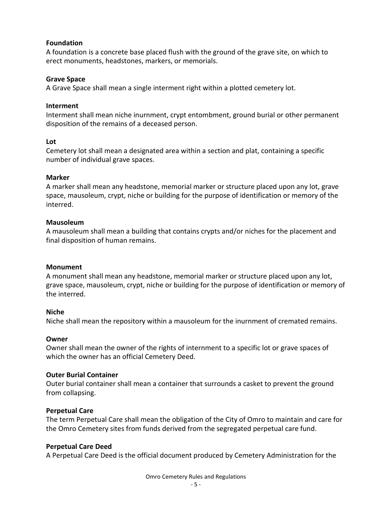#### **Foundation**

A foundation is a concrete base placed flush with the ground of the grave site, on which to erect monuments, headstones, markers, or memorials.

#### **Grave Space**

A Grave Space shall mean a single interment right within a plotted cemetery lot.

#### **Interment**

Interment shall mean niche inurnment, crypt entombment, ground burial or other permanent disposition of the remains of a deceased person.

#### **Lot**

Cemetery lot shall mean a designated area within a section and plat, containing a specific number of individual grave spaces.

#### **Marker**

A marker shall mean any headstone, memorial marker or structure placed upon any lot, grave space, mausoleum, crypt, niche or building for the purpose of identification or memory of the interred.

#### **Mausoleum**

A mausoleum shall mean a building that contains crypts and/or niches for the placement and final disposition of human remains.

#### **Monument**

A monument shall mean any headstone, memorial marker or structure placed upon any lot, grave space, mausoleum, crypt, niche or building for the purpose of identification or memory of the interred.

#### **Niche**

Niche shall mean the repository within a mausoleum for the inurnment of cremated remains.

#### **Owner**

Owner shall mean the owner of the rights of internment to a specific lot or grave spaces of which the owner has an official Cemetery Deed.

#### **Outer Burial Container**

Outer burial container shall mean a container that surrounds a casket to prevent the ground from collapsing.

## **Perpetual Care**

The term Perpetual Care shall mean the obligation of the City of Omro to maintain and care for the Omro Cemetery sites from funds derived from the segregated perpetual care fund.

#### **Perpetual Care Deed**

A Perpetual Care Deed is the official document produced by Cemetery Administration for the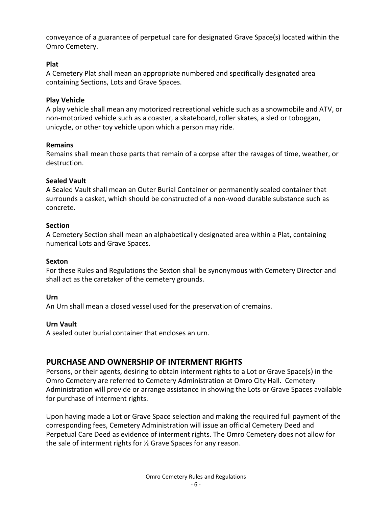conveyance of a guarantee of perpetual care for designated Grave Space(s) located within the Omro Cemetery.

## **Plat**

A Cemetery Plat shall mean an appropriate numbered and specifically designated area containing Sections, Lots and Grave Spaces.

## **Play Vehicle**

A play vehicle shall mean any motorized recreational vehicle such as a snowmobile and ATV, or non-motorized vehicle such as a coaster, a skateboard, roller skates, a sled or toboggan, unicycle, or other toy vehicle upon which a person may ride.

## **Remains**

Remains shall mean those parts that remain of a corpse after the ravages of time, weather, or destruction.

## **Sealed Vault**

A Sealed Vault shall mean an Outer Burial Container or permanently sealed container that surrounds a casket, which should be constructed of a non-wood durable substance such as concrete.

## **Section**

A Cemetery Section shall mean an alphabetically designated area within a Plat, containing numerical Lots and Grave Spaces.

## **Sexton**

For these Rules and Regulations the Sexton shall be synonymous with Cemetery Director and shall act as the caretaker of the cemetery grounds.

## **Urn**

An Urn shall mean a closed vessel used for the preservation of cremains.

## **Urn Vault**

A sealed outer burial container that encloses an urn.

# <span id="page-5-0"></span>**PURCHASE AND OWNERSHIP OF INTERMENT RIGHTS**

Persons, or their agents, desiring to obtain interment rights to a Lot or Grave Space(s) in the Omro Cemetery are referred to Cemetery Administration at Omro City Hall. Cemetery Administration will provide or arrange assistance in showing the Lots or Grave Spaces available for purchase of interment rights.

Upon having made a Lot or Grave Space selection and making the required full payment of the corresponding fees, Cemetery Administration will issue an official Cemetery Deed and Perpetual Care Deed as evidence of interment rights. The Omro Cemetery does not allow for the sale of interment rights for ½ Grave Spaces for any reason.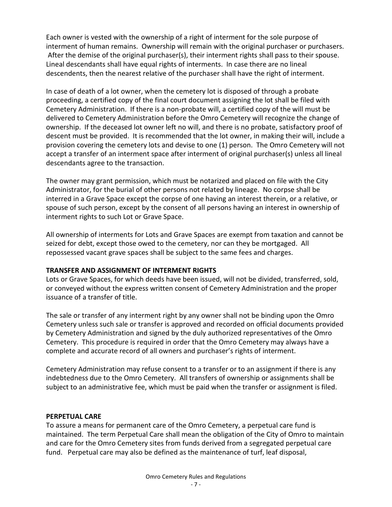Each owner is vested with the ownership of a right of interment for the sole purpose of interment of human remains. Ownership will remain with the original purchaser or purchasers. After the demise of the original purchaser(s), their interment rights shall pass to their spouse. Lineal descendants shall have equal rights of interments. In case there are no lineal descendents, then the nearest relative of the purchaser shall have the right of interment.

In case of death of a lot owner, when the cemetery lot is disposed of through a probate proceeding, a certified copy of the final court document assigning the lot shall be filed with Cemetery Administration. If there is a non-probate will, a certified copy of the will must be delivered to Cemetery Administration before the Omro Cemetery will recognize the change of ownership. If the deceased lot owner left no will, and there is no probate, satisfactory proof of descent must be provided. It is recommended that the lot owner, in making their will, include a provision covering the cemetery lots and devise to one (1) person. The Omro Cemetery will not accept a transfer of an interment space after interment of original purchaser(s) unless all lineal descendants agree to the transaction.

The owner may grant permission, which must be notarized and placed on file with the City Administrator, for the burial of other persons not related by lineage. No corpse shall be interred in a Grave Space except the corpse of one having an interest therein, or a relative, or spouse of such person, except by the consent of all persons having an interest in ownership of interment rights to such Lot or Grave Space.

All ownership of interments for Lots and Grave Spaces are exempt from taxation and cannot be seized for debt, except those owed to the cemetery, nor can they be mortgaged. All repossessed vacant grave spaces shall be subject to the same fees and charges.

## <span id="page-6-0"></span>**TRANSFER AND ASSIGNMENT OF INTERMENT RIGHTS**

Lots or Grave Spaces, for which deeds have been issued, will not be divided, transferred, sold, or conveyed without the express written consent of Cemetery Administration and the proper issuance of a transfer of title.

The sale or transfer of any interment right by any owner shall not be binding upon the Omro Cemetery unless such sale or transfer is approved and recorded on official documents provided by Cemetery Administration and signed by the duly authorized representatives of the Omro Cemetery. This procedure is required in order that the Omro Cemetery may always have a complete and accurate record of all owners and purchaser's rights of interment.

Cemetery Administration may refuse consent to a transfer or to an assignment if there is any indebtedness due to the Omro Cemetery. All transfers of ownership or assignments shall be subject to an administrative fee, which must be paid when the transfer or assignment is filed.

#### <span id="page-6-1"></span>**PERPETUAL CARE**

To assure a means for permanent care of the Omro Cemetery, a perpetual care fund is maintained. The term Perpetual Care shall mean the obligation of the City of Omro to maintain and care for the Omro Cemetery sites from funds derived from a segregated perpetual care fund. Perpetual care may also be defined as the maintenance of turf, leaf disposal,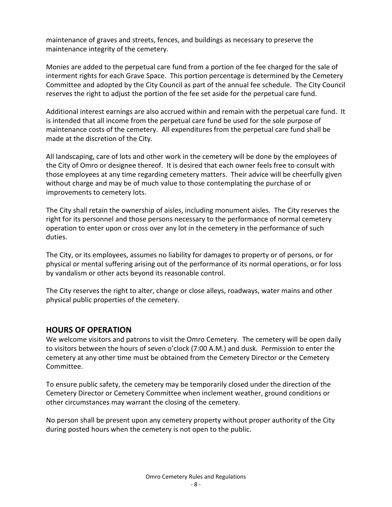maintenance of graves and streets, fences, and buildings as necessary to preserve the maintenance integrity of the cemetery.

Monies are added to the perpetual care fund from a portion of the fee charged for the sale of interment rights for each Grave Space. This portion percentage is determined by the Cemetery Committee and adopted by the City Council as part of the annual fee schedule. The City Council reserves the right to adjust the portion of the fee set aside for the perpetual care fund.

Additional interest earnings are also accrued within and remain with the perpetual care fund. It is intended that all income from the perpetual care fund be used for the sole purpose of maintenance costs of the cemetery. All expenditures from the perpetual care fund shall be made at the discretion of the City.

All landscaping, care of lots and other work in the cemetery will be done by the employees of the City of Omro or designee thereof. It is desired that each owner feels free to consult with those employees at any time regarding cemetery matters. Their advice will be cheerfully given without charge and may be of much value to those contemplating the purchase of or improvements to cemetery lots.

The City shall retain the ownership of aisles, including monument aisles. The City reserves the right for its personnel and those persons necessary to the performance of normal cemetery operation to enter upon or cross over any lot in the cemetery in the performance of such duties.

The City, or its employees, assumes no liability for damages to property or of persons, or for physical or mental suffering arising out of the performance of its normal operations, or for loss by vandalism or other acts beyond its reasonable control.

The City reserves the right to alter, change or close alleys, roadways, water mains and other physical public properties of the cemetery.

## <span id="page-7-0"></span>**HOURS OF OPERATION**

We welcome visitors and patrons to visit the Omro Cemetery. The cemetery will be open daily to visitors between the hours of seven o'clock (7:00 A.M.) and dusk. Permission to enter the cemetery at any other time must be obtained from the Cemetery Director or the Cemetery Committee.

To ensure public safety, the cemetery may be temporarily closed under the direction of the Cemetery Director or Cemetery Committee when inclement weather, ground conditions or other circumstances may warrant the closing of the cemetery.

No person shall be present upon any cemetery property without proper authority of the City during posted hours when the cemetery is not open to the public.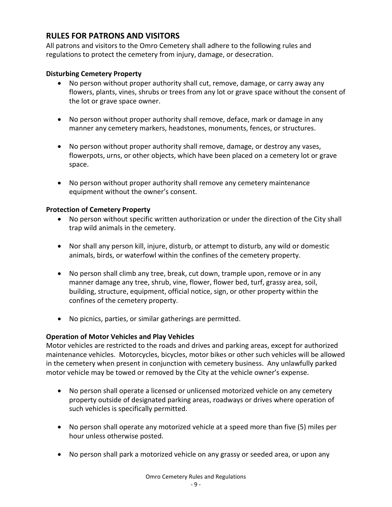# <span id="page-8-0"></span>**RULES FOR PATRONS AND VISITORS**

All patrons and visitors to the Omro Cemetery shall adhere to the following rules and regulations to protect the cemetery from injury, damage, or desecration.

## **Disturbing Cemetery Property**

- No person without proper authority shall cut, remove, damage, or carry away any flowers, plants, vines, shrubs or trees from any lot or grave space without the consent of the lot or grave space owner.
- No person without proper authority shall remove, deface, mark or damage in any manner any cemetery markers, headstones, monuments, fences, or structures.
- No person without proper authority shall remove, damage, or destroy any vases, flowerpots, urns, or other objects, which have been placed on a cemetery lot or grave space.
- No person without proper authority shall remove any cemetery maintenance equipment without the owner's consent.

## <span id="page-8-1"></span>**Protection of Cemetery Property**

- No person without specific written authorization or under the direction of the City shall trap wild animals in the cemetery.
- Nor shall any person kill, injure, disturb, or attempt to disturb, any wild or domestic animals, birds, or waterfowl within the confines of the cemetery property.
- No person shall climb any tree, break, cut down, trample upon, remove or in any manner damage any tree, shrub, vine, flower, flower bed, turf, grassy area, soil, building, structure, equipment, official notice, sign, or other property within the confines of the cemetery property.
- No picnics, parties, or similar gatherings are permitted.

## <span id="page-8-2"></span>**Operation of Motor Vehicles and Play Vehicles**

Motor vehicles are restricted to the roads and drives and parking areas, except for authorized maintenance vehicles. Motorcycles, bicycles, motor bikes or other such vehicles will be allowed in the cemetery when present in conjunction with cemetery business. Any unlawfully parked motor vehicle may be towed or removed by the City at the vehicle owner's expense.

- No person shall operate a licensed or unlicensed motorized vehicle on any cemetery property outside of designated parking areas, roadways or drives where operation of such vehicles is specifically permitted.
- No person shall operate any motorized vehicle at a speed more than five (5) miles per hour unless otherwise posted.
- No person shall park a motorized vehicle on any grassy or seeded area, or upon any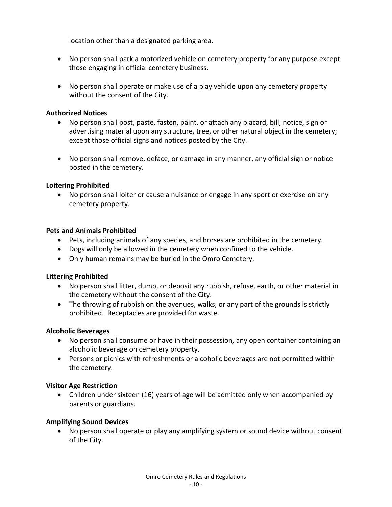location other than a designated parking area.

- No person shall park a motorized vehicle on cemetery property for any purpose except those engaging in official cemetery business.
- No person shall operate or make use of a play vehicle upon any cemetery property without the consent of the City.

## <span id="page-9-0"></span>**Authorized Notices**

- No person shall post, paste, fasten, paint, or attach any placard, bill, notice, sign or advertising material upon any structure, tree, or other natural object in the cemetery; except those official signs and notices posted by the City.
- No person shall remove, deface, or damage in any manner, any official sign or notice posted in the cemetery.

## <span id="page-9-1"></span>**Loitering Prohibited**

• No person shall loiter or cause a nuisance or engage in any sport or exercise on any cemetery property.

## <span id="page-9-2"></span>**Pets and Animals Prohibited**

- Pets, including animals of any species, and horses are prohibited in the cemetery.
- Dogs will only be allowed in the cemetery when confined to the vehicle.
- Only human remains may be buried in the Omro Cemetery.

## <span id="page-9-3"></span>**Littering Prohibited**

- No person shall litter, dump, or deposit any rubbish, refuse, earth, or other material in the cemetery without the consent of the City.
- The throwing of rubbish on the avenues, walks, or any part of the grounds is strictly prohibited. Receptacles are provided for waste.

## <span id="page-9-4"></span>**Alcoholic Beverages**

- No person shall consume or have in their possession, any open container containing an alcoholic beverage on cemetery property.
- Persons or picnics with refreshments or alcoholic beverages are not permitted within the cemetery.

## <span id="page-9-5"></span>**Visitor Age Restriction**

• Children under sixteen (16) years of age will be admitted only when accompanied by parents or guardians.

## <span id="page-9-6"></span>**Amplifying Sound Devices**

• No person shall operate or play any amplifying system or sound device without consent of the City.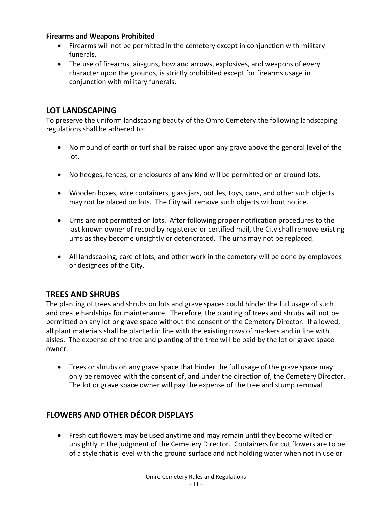## <span id="page-10-0"></span>**Firearms and Weapons Prohibited**

- Firearms will not be permitted in the cemetery except in conjunction with military funerals.
- The use of firearms, air-guns, bow and arrows, explosives, and weapons of every character upon the grounds, is strictly prohibited except for firearms usage in conjunction with military funerals.

# <span id="page-10-1"></span>**LOT LANDSCAPING**

To preserve the uniform landscaping beauty of the Omro Cemetery the following landscaping regulations shall be adhered to:

- No mound of earth or turf shall be raised upon any grave above the general level of the lot.
- No hedges, fences, or enclosures of any kind will be permitted on or around lots.
- Wooden boxes, wire containers, glass jars, bottles, toys, cans, and other such objects may not be placed on lots. The City will remove such objects without notice.
- Urns are not permitted on lots. After following proper notification procedures to the last known owner of record by registered or certified mail, the City shall remove existing urns as they become unsightly or deteriorated. The urns may not be replaced.
- All landscaping, care of lots, and other work in the cemetery will be done by employees or designees of the City.

# <span id="page-10-2"></span>**TREES AND SHRUBS**

The planting of trees and shrubs on lots and grave spaces could hinder the full usage of such and create hardships for maintenance. Therefore, the planting of trees and shrubs will not be permitted on any lot or grave space without the consent of the Cemetery Director. If allowed, all plant materials shall be planted in line with the existing rows of markers and in line with aisles. The expense of the tree and planting of the tree will be paid by the lot or grave space owner.

• Trees or shrubs on any grave space that hinder the full usage of the grave space may only be removed with the consent of, and under the direction of, the Cemetery Director. The lot or grave space owner will pay the expense of the tree and stump removal.

# <span id="page-10-3"></span>**FLOWERS AND OTHER DÉCOR DISPLAYS**

• Fresh cut flowers may be used anytime and may remain until they become wilted or unsightly in the judgment of the Cemetery Director. Containers for cut flowers are to be of a style that is level with the ground surface and not holding water when not in use or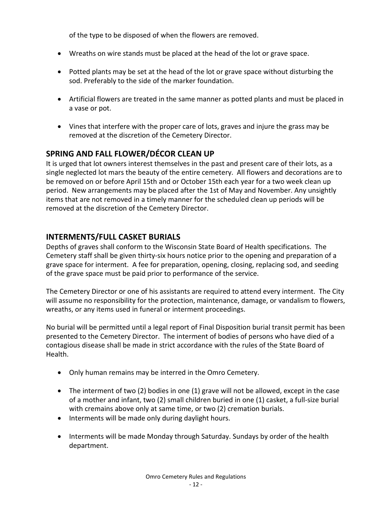of the type to be disposed of when the flowers are removed.

- Wreaths on wire stands must be placed at the head of the lot or grave space.
- Potted plants may be set at the head of the lot or grave space without disturbing the sod. Preferably to the side of the marker foundation.
- Artificial flowers are treated in the same manner as potted plants and must be placed in a vase or pot.
- Vines that interfere with the proper care of lots, graves and injure the grass may be removed at the discretion of the Cemetery Director.

# <span id="page-11-0"></span>**SPRING AND FALL FLOWER/DÉCOR CLEAN UP**

It is urged that lot owners interest themselves in the past and present care of their lots, as a single neglected lot mars the beauty of the entire cemetery. All flowers and decorations are to be removed on or before April 15th and or October 15th each year for a two week clean up period. New arrangements may be placed after the 1st of May and November. Any unsightly items that are not removed in a timely manner for the scheduled clean up periods will be removed at the discretion of the Cemetery Director.

# <span id="page-11-1"></span>**INTERMENTS/FULL CASKET BURIALS**

Depths of graves shall conform to the Wisconsin State Board of Health specifications. The Cemetery staff shall be given thirty-six hours notice prior to the opening and preparation of a grave space for interment. A fee for preparation, opening, closing, replacing sod, and seeding of the grave space must be paid prior to performance of the service.

The Cemetery Director or one of his assistants are required to attend every interment. The City will assume no responsibility for the protection, maintenance, damage, or vandalism to flowers, wreaths, or any items used in funeral or interment proceedings.

No burial will be permitted until a legal report of Final Disposition burial transit permit has been presented to the Cemetery Director. The interment of bodies of persons who have died of a contagious disease shall be made in strict accordance with the rules of the State Board of Health.

- Only human remains may be interred in the Omro Cemetery.
- The interment of two (2) bodies in one (1) grave will not be allowed, except in the case of a mother and infant, two (2) small children buried in one (1) casket, a full-size burial with cremains above only at same time, or two (2) cremation burials.
- Interments will be made only during daylight hours.
- Interments will be made Monday through Saturday. Sundays by order of the health department.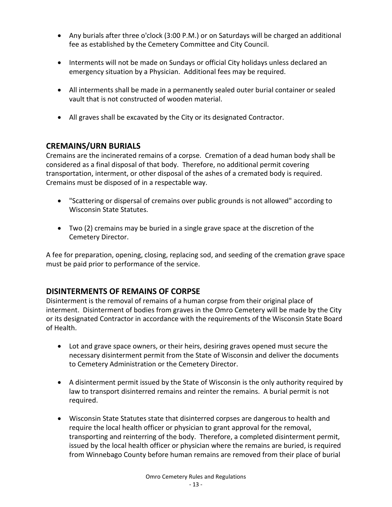- Any burials after three o'clock (3:00 P.M.) or on Saturdays will be charged an additional fee as established by the Cemetery Committee and City Council.
- Interments will not be made on Sundays or official City holidays unless declared an emergency situation by a Physician. Additional fees may be required.
- All interments shall be made in a permanently sealed outer burial container or sealed vault that is not constructed of wooden material.
- All graves shall be excavated by the City or its designated Contractor.

# <span id="page-12-0"></span>**CREMAINS/URN BURIALS**

Cremains are the incinerated remains of a corpse. Cremation of a dead human body shall be considered as a final disposal of that body. Therefore, no additional permit covering transportation, interment, or other disposal of the ashes of a cremated body is required. Cremains must be disposed of in a respectable way.

- "Scattering or dispersal of cremains over public grounds is not allowed" according to Wisconsin State Statutes.
- Two (2) cremains may be buried in a single grave space at the discretion of the Cemetery Director.

A fee for preparation, opening, closing, replacing sod, and seeding of the cremation grave space must be paid prior to performance of the service.

# **DISINTERMENTS OF REMAINS OF CORPSE**

Disinterment is the removal of remains of a human corpse from their original place of interment. Disinterment of bodies from graves in the Omro Cemetery will be made by the City or its designated Contractor in accordance with the requirements of the Wisconsin State Board of Health.

- Lot and grave space owners, or their heirs, desiring graves opened must secure the necessary disinterment permit from the State of Wisconsin and deliver the documents to Cemetery Administration or the Cemetery Director.
- A disinterment permit issued by the State of Wisconsin is the only authority required by law to transport disinterred remains and reinter the remains. A burial permit is not required.
- Wisconsin State Statutes state that disinterred corpses are dangerous to health and require the local health officer or physician to grant approval for the removal, transporting and reinterring of the body. Therefore, a completed disinterment permit, issued by the local health officer or physician where the remains are buried, is required from Winnebago County before human remains are removed from their place of burial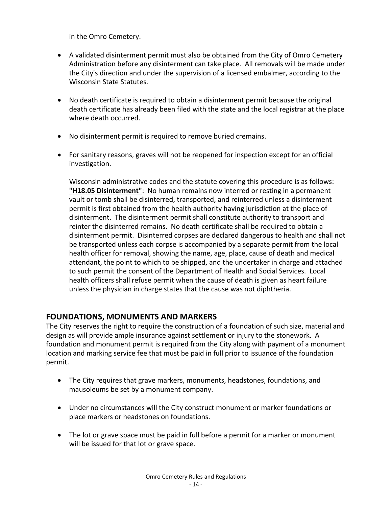in the Omro Cemetery.

- A validated disinterment permit must also be obtained from the City of Omro Cemetery Administration before any disinterment can take place. All removals will be made under the City's direction and under the supervision of a licensed embalmer, according to the Wisconsin State Statutes.
- No death certificate is required to obtain a disinterment permit because the original death certificate has already been filed with the state and the local registrar at the place where death occurred.
- No disinterment permit is required to remove buried cremains.
- For sanitary reasons, graves will not be reopened for inspection except for an official investigation.

Wisconsin administrative codes and the statute covering this procedure is as follows: **"H18.05 Disinterment"**: No human remains now interred or resting in a permanent vault or tomb shall be disinterred, transported, and reinterred unless a disinterment permit is first obtained from the health authority having jurisdiction at the place of disinterment. The disinterment permit shall constitute authority to transport and reinter the disinterred remains. No death certificate shall be required to obtain a disinterment permit. Disinterred corpses are declared dangerous to health and shall not be transported unless each corpse is accompanied by a separate permit from the local health officer for removal, showing the name, age, place, cause of death and medical attendant, the point to which to be shipped, and the undertaker in charge and attached to such permit the consent of the Department of Health and Social Services. Local health officers shall refuse permit when the cause of death is given as heart failure unless the physician in charge states that the cause was not diphtheria.

# <span id="page-13-0"></span>**FOUNDATIONS, MONUMENTS AND MARKERS**

The City reserves the right to require the construction of a foundation of such size, material and design as will provide ample insurance against settlement or injury to the stonework. A foundation and monument permit is required from the City along with payment of a monument location and marking service fee that must be paid in full prior to issuance of the foundation permit.

- The City requires that grave markers, monuments, headstones, foundations, and mausoleums be set by a monument company.
- Under no circumstances will the City construct monument or marker foundations or place markers or headstones on foundations.
- The lot or grave space must be paid in full before a permit for a marker or monument will be issued for that lot or grave space.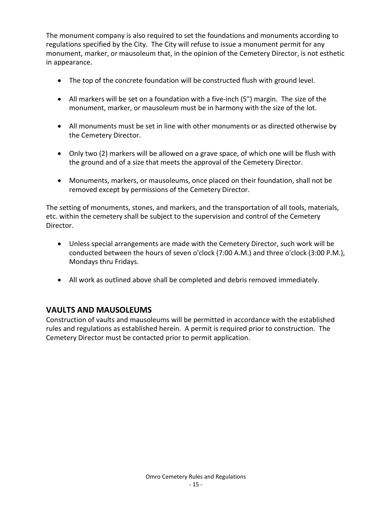The monument company is also required to set the foundations and monuments according to regulations specified by the City. The City will refuse to issue a monument permit for any monument, marker, or mausoleum that, in the opinion of the Cemetery Director, is not esthetic in appearance.

- The top of the concrete foundation will be constructed flush with ground level.
- All markers will be set on a foundation with a five-inch (5") margin. The size of the monument, marker, or mausoleum must be in harmony with the size of the lot.
- All monuments must be set in line with other monuments or as directed otherwise by the Cemetery Director.
- Only two (2) markers will be allowed on a grave space, of which one will be flush with the ground and of a size that meets the approval of the Cemetery Director.
- Monuments, markers, or mausoleums, once placed on their foundation, shall not be removed except by permissions of the Cemetery Director.

The setting of monuments, stones, and markers, and the transportation of all tools, materials, etc. within the cemetery shall be subject to the supervision and control of the Cemetery Director.

- Unless special arrangements are made with the Cemetery Director, such work will be conducted between the hours of seven o'clock (7:00 A.M.) and three o'clock (3:00 P.M.), Mondays thru Fridays.
- All work as outlined above shall be completed and debris removed immediately.

# <span id="page-14-0"></span>**VAULTS AND MAUSOLEUMS**

Construction of vaults and mausoleums will be permitted in accordance with the established rules and regulations as established herein. A permit is required prior to construction. The Cemetery Director must be contacted prior to permit application.